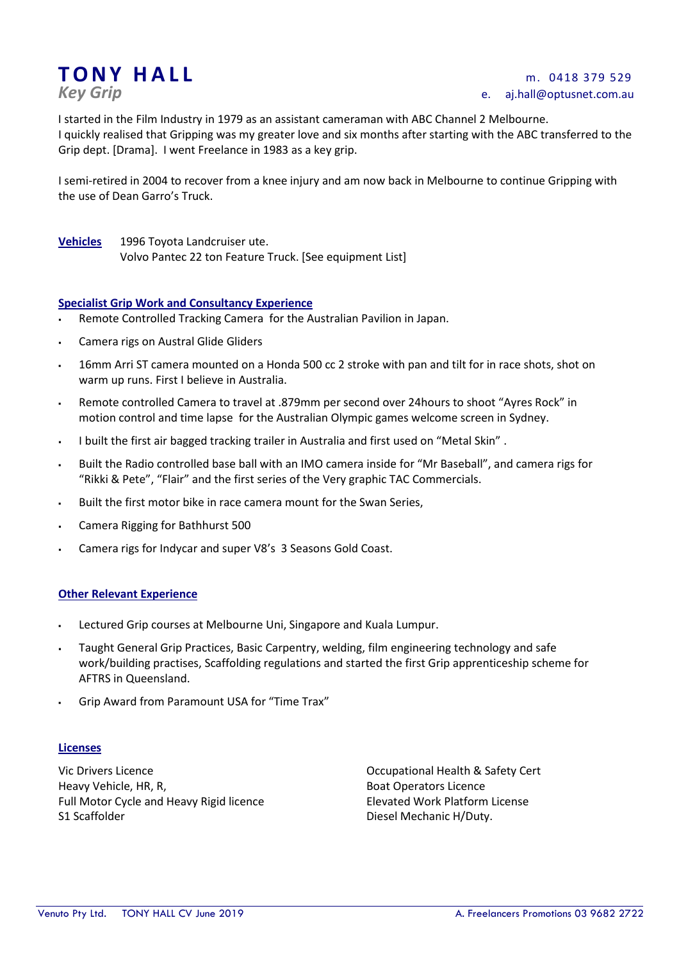# TONY HALL<br>
Key Grip

# *Key Grip* e. aj.hall@optusnet.com.au

I started in the Film Industry in 1979 as an assistant cameraman with ABC Channel 2 Melbourne. I quickly realised that Gripping was my greater love and six months after starting with the ABC transferred to the Grip dept. [Drama]. I went Freelance in 1983 as a key grip.

I semi-retired in 2004 to recover from a knee injury and am now back in Melbourne to continue Gripping with the use of Dean Garro's Truck.

**Vehicles** 1996 Toyota Landcruiser ute. Volvo Pantec 22 ton Feature Truck. [See equipment List]

# **Specialist Grip Work and Consultancy Experience**

- Remote Controlled Tracking Camera for the Australian Pavilion in Japan.
- Camera rigs on Austral Glide Gliders
- 16mm Arri ST camera mounted on a Honda 500 cc 2 stroke with pan and tilt for in race shots, shot on warm up runs. First I believe in Australia.
- Remote controlled Camera to travel at .879mm per second over 24hours to shoot "Ayres Rock" in motion control and time lapse for the Australian Olympic games welcome screen in Sydney.
- I built the first air bagged tracking trailer in Australia and first used on "Metal Skin" .
- Built the Radio controlled base ball with an IMO camera inside for "Mr Baseball", and camera rigs for "Rikki & Pete", "Flair" and the first series of the Very graphic TAC Commercials.
- Built the first motor bike in race camera mount for the Swan Series,
- Camera Rigging for Bathhurst 500
- Camera rigs for Indycar and super V8's 3 Seasons Gold Coast.

#### **Other Relevant Experience**

- Lectured Grip courses at Melbourne Uni, Singapore and Kuala Lumpur.
- Taught General Grip Practices, Basic Carpentry, welding, film engineering technology and safe work/building practises, Scaffolding regulations and started the first Grip apprenticeship scheme for AFTRS in Queensland.
- Grip Award from Paramount USA for "Time Trax"

#### **Licenses**

Vic Drivers Licence Occupational Health & Safety Cert Heavy Vehicle, HR, R, Boat Operators Licence Full Motor Cycle and Heavy Rigid licence **Elevated Work Platform License** S1 Scaffolder **Diesel Mechanic H/Duty.** Diesel Mechanic H/Duty.